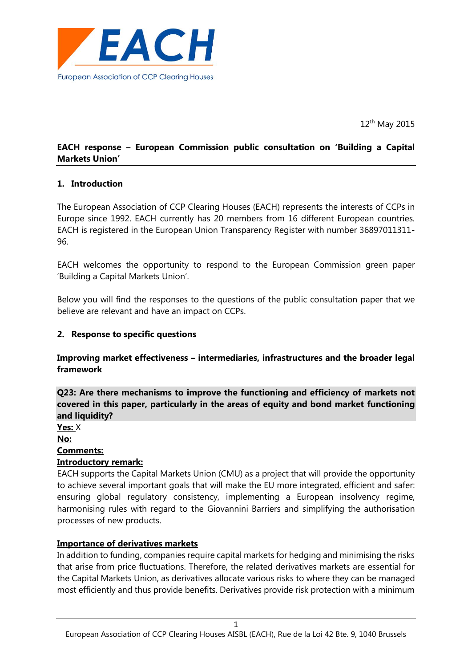

12<sup>th</sup> May 2015

# **EACH response – European Commission public consultation on 'Building a Capital Markets Union'**

## **1. Introduction**

The European Association of CCP Clearing Houses (EACH) represents the interests of CCPs in Europe since 1992. EACH currently has 20 members from 16 different European countries. EACH is registered in the European Union Transparency Register with number 36897011311- 96.

EACH welcomes the opportunity to respond to the European Commission green paper 'Building a Capital Markets Union'.

Below you will find the responses to the questions of the public consultation paper that we believe are relevant and have an impact on CCPs.

#### **2. Response to specific questions**

#### **Improving market effectiveness – intermediaries, infrastructures and the broader legal framework**

**Q23: Are there mechanisms to improve the functioning and efficiency of markets not covered in this paper, particularly in the areas of equity and bond market functioning and liquidity?**

**Yes:** X **No:**

# **Comments:**

#### **Introductory remark:**

EACH supports the Capital Markets Union (CMU) as a project that will provide the opportunity to achieve several important goals that will make the EU more integrated, efficient and safer: ensuring global regulatory consistency, implementing a European insolvency regime, harmonising rules with regard to the Giovannini Barriers and simplifying the authorisation processes of new products.

#### **Importance of derivatives markets**

In addition to funding, companies require capital markets for hedging and minimising the risks that arise from price fluctuations. Therefore, the related derivatives markets are essential for the Capital Markets Union, as derivatives allocate various risks to where they can be managed most efficiently and thus provide benefits. Derivatives provide risk protection with a minimum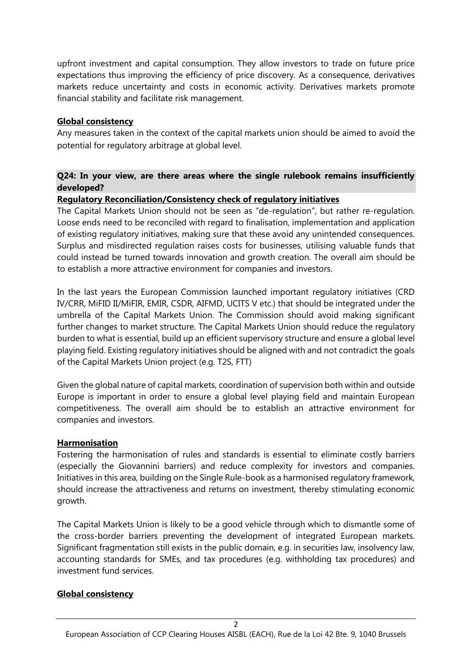upfront investment and capital consumption. They allow investors to trade on future price expectations thus improving the efficiency of price discovery. As a consequence, derivatives markets reduce uncertainty and costs in economic activity. Derivatives markets promote financial stability and facilitate risk management.

# **Global consistency**

Any measures taken in the context of the capital markets union should be aimed to avoid the potential for regulatory arbitrage at global level.

# **Q24: In your view, are there areas where the single rulebook remains insufficiently developed?**

# **Regulatory Reconciliation/Consistency check of regulatory initiatives**

The Capital Markets Union should not be seen as "de-regulation", but rather re-regulation. Loose ends need to be reconciled with regard to finalisation, implementation and application of existing regulatory initiatives, making sure that these avoid any unintended consequences. Surplus and misdirected regulation raises costs for businesses, utilising valuable funds that could instead be turned towards innovation and growth creation. The overall aim should be to establish a more attractive environment for companies and investors.

In the last years the European Commission launched important regulatory initiatives (CRD IV/CRR, MiFID II/MiFIR, EMIR, CSDR, AIFMD, UCITS V etc.) that should be integrated under the umbrella of the Capital Markets Union. The Commission should avoid making significant further changes to market structure. The Capital Markets Union should reduce the regulatory burden to what is essential, build up an efficient supervisory structure and ensure a global level playing field. Existing regulatory initiatives should be aligned with and not contradict the goals of the Capital Markets Union project (e.g. T2S, FTT)

Given the global nature of capital markets, coordination of supervision both within and outside Europe is important in order to ensure a global level playing field and maintain European competitiveness. The overall aim should be to establish an attractive environment for companies and investors.

## **Harmonisation**

Fostering the harmonisation of rules and standards is essential to eliminate costly barriers (especially the Giovannini barriers) and reduce complexity for investors and companies. Initiatives in this area, building on the Single Rule-book as a harmonised regulatory framework, should increase the attractiveness and returns on investment, thereby stimulating economic growth.

The Capital Markets Union is likely to be a good vehicle through which to dismantle some of the cross-border barriers preventing the development of integrated European markets. Significant fragmentation still exists in the public domain, e.g. in securities law, insolvency law, accounting standards for SMEs, and tax procedures (e.g. withholding tax procedures) and investment fund services.

## **Global consistency**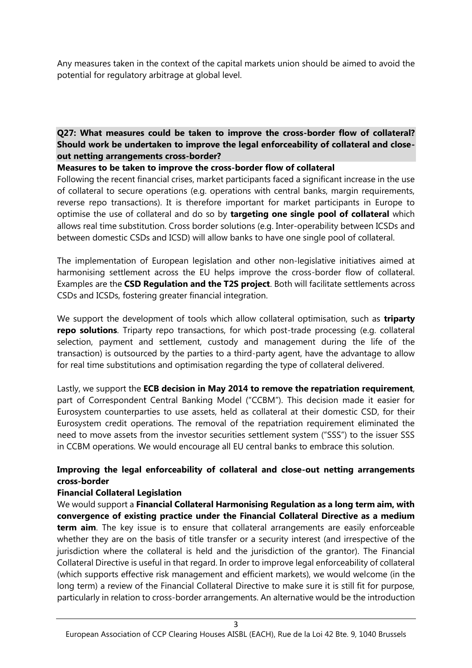Any measures taken in the context of the capital markets union should be aimed to avoid the potential for regulatory arbitrage at global level.

# **Q27: What measures could be taken to improve the cross-border flow of collateral? Should work be undertaken to improve the legal enforceability of collateral and closeout netting arrangements cross-border?**

#### **Measures to be taken to improve the cross-border flow of collateral**

Following the recent financial crises, market participants faced a significant increase in the use of collateral to secure operations (e.g. operations with central banks, margin requirements, reverse repo transactions). It is therefore important for market participants in Europe to optimise the use of collateral and do so by **targeting one single pool of collateral** which allows real time substitution. Cross border solutions (e.g. Inter-operability between ICSDs and between domestic CSDs and ICSD) will allow banks to have one single pool of collateral.

The implementation of European legislation and other non-legislative initiatives aimed at harmonising settlement across the EU helps improve the cross-border flow of collateral. Examples are the **CSD Regulation and the T2S project**. Both will facilitate settlements across CSDs and ICSDs, fostering greater financial integration.

We support the development of tools which allow collateral optimisation, such as **triparty repo solutions**. Triparty repo transactions, for which post-trade processing (e.g. collateral selection, payment and settlement, custody and management during the life of the transaction) is outsourced by the parties to a third-party agent, have the advantage to allow for real time substitutions and optimisation regarding the type of collateral delivered.

Lastly, we support the **ECB decision in May 2014 to remove the repatriation requirement**, part of Correspondent Central Banking Model ("CCBM"). This decision made it easier for Eurosystem counterparties to use assets, held as collateral at their domestic CSD, for their Eurosystem credit operations. The removal of the repatriation requirement eliminated the need to move assets from the investor securities settlement system ("SSS") to the issuer SSS in CCBM operations. We would encourage all EU central banks to embrace this solution.

# **Improving the legal enforceability of collateral and close-out netting arrangements cross-border**

## **Financial Collateral Legislation**

We would support a **Financial Collateral Harmonising Regulation as a long term aim, with convergence of existing practice under the Financial Collateral Directive as a medium term aim**. The key issue is to ensure that collateral arrangements are easily enforceable whether they are on the basis of title transfer or a security interest (and irrespective of the jurisdiction where the collateral is held and the jurisdiction of the grantor). The Financial Collateral Directive is useful in that regard. In order to improve legal enforceability of collateral (which supports effective risk management and efficient markets), we would welcome (in the long term) a review of the Financial Collateral Directive to make sure it is still fit for purpose, particularly in relation to cross-border arrangements. An alternative would be the introduction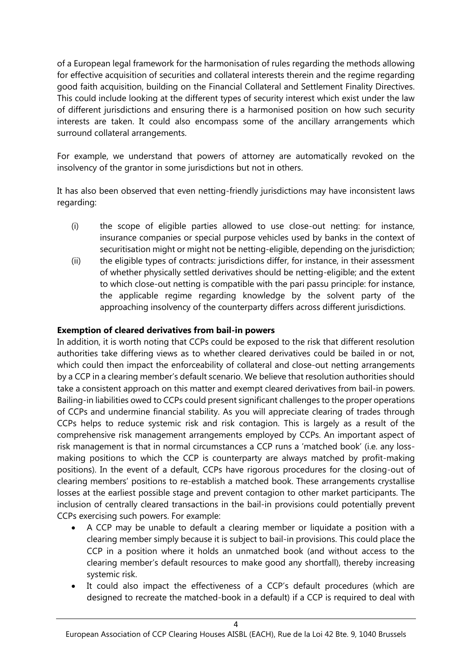of a European legal framework for the harmonisation of rules regarding the methods allowing for effective acquisition of securities and collateral interests therein and the regime regarding good faith acquisition, building on the Financial Collateral and Settlement Finality Directives. This could include looking at the different types of security interest which exist under the law of different jurisdictions and ensuring there is a harmonised position on how such security interests are taken. It could also encompass some of the ancillary arrangements which surround collateral arrangements.

For example, we understand that powers of attorney are automatically revoked on the insolvency of the grantor in some jurisdictions but not in others.

It has also been observed that even netting-friendly jurisdictions may have inconsistent laws regarding:

- (i) the scope of eligible parties allowed to use close-out netting: for instance, insurance companies or special purpose vehicles used by banks in the context of securitisation might or might not be netting-eligible, depending on the jurisdiction;
- (ii) the eligible types of contracts: jurisdictions differ, for instance, in their assessment of whether physically settled derivatives should be netting-eligible; and the extent to which close-out netting is compatible with the pari passu principle: for instance, the applicable regime regarding knowledge by the solvent party of the approaching insolvency of the counterparty differs across different jurisdictions.

# **Exemption of cleared derivatives from bail-in powers**

In addition, it is worth noting that CCPs could be exposed to the risk that different resolution authorities take differing views as to whether cleared derivatives could be bailed in or not, which could then impact the enforceability of collateral and close-out netting arrangements by a CCP in a clearing member's default scenario. We believe that resolution authorities should take a consistent approach on this matter and exempt cleared derivatives from bail-in powers. Bailing-in liabilities owed to CCPs could present significant challenges to the proper operations of CCPs and undermine financial stability. As you will appreciate clearing of trades through CCPs helps to reduce systemic risk and risk contagion. This is largely as a result of the comprehensive risk management arrangements employed by CCPs. An important aspect of risk management is that in normal circumstances a CCP runs a 'matched book' (i.e. any lossmaking positions to which the CCP is counterparty are always matched by profit-making positions). In the event of a default, CCPs have rigorous procedures for the closing-out of clearing members' positions to re-establish a matched book. These arrangements crystallise losses at the earliest possible stage and prevent contagion to other market participants. The inclusion of centrally cleared transactions in the bail-in provisions could potentially prevent CCPs exercising such powers. For example:

- A CCP may be unable to default a clearing member or liquidate a position with a clearing member simply because it is subject to bail-in provisions. This could place the CCP in a position where it holds an unmatched book (and without access to the clearing member's default resources to make good any shortfall), thereby increasing systemic risk.
- It could also impact the effectiveness of a CCP's default procedures (which are designed to recreate the matched-book in a default) if a CCP is required to deal with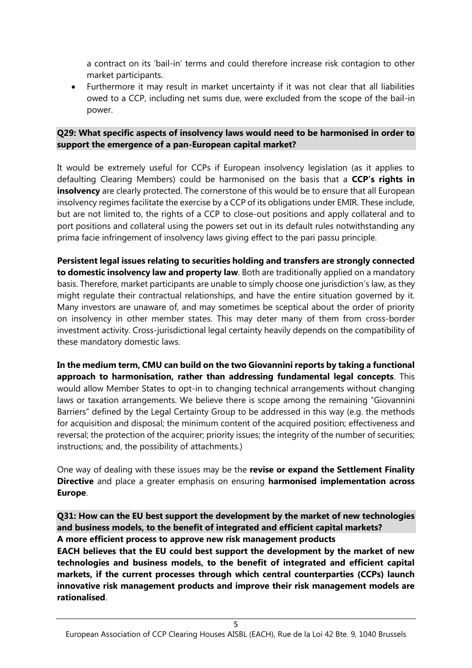a contract on its 'bail-in' terms and could therefore increase risk contagion to other market participants.

 Furthermore it may result in market uncertainty if it was not clear that all liabilities owed to a CCP, including net sums due, were excluded from the scope of the bail-in power.

#### **Q29: What specific aspects of insolvency laws would need to be harmonised in order to support the emergence of a pan-European capital market?**

It would be extremely useful for CCPs if European insolvency legislation (as it applies to defaulting Clearing Members) could be harmonised on the basis that a **CCP's rights in insolvency** are clearly protected. The cornerstone of this would be to ensure that all European insolvency regimes facilitate the exercise by a CCP of its obligations under EMIR. These include, but are not limited to, the rights of a CCP to close-out positions and apply collateral and to port positions and collateral using the powers set out in its default rules notwithstanding any prima facie infringement of insolvency laws giving effect to the pari passu principle.

**Persistent legal issues relating to securities holding and transfers are strongly connected to domestic insolvency law and property law**. Both are traditionally applied on a mandatory basis. Therefore, market participants are unable to simply choose one jurisdiction's law, as they might regulate their contractual relationships, and have the entire situation governed by it. Many investors are unaware of, and may sometimes be sceptical about the order of priority on insolvency in other member states. This may deter many of them from cross-border investment activity. Cross-jurisdictional legal certainty heavily depends on the compatibility of these mandatory domestic laws.

**In the medium term, CMU can build on the two Giovannini reports by taking a functional approach to harmonisation, rather than addressing fundamental legal concepts**. This would allow Member States to opt-in to changing technical arrangements without changing laws or taxation arrangements. We believe there is scope among the remaining "Giovannini Barriers" defined by the Legal Certainty Group to be addressed in this way (e.g. the methods for acquisition and disposal; the minimum content of the acquired position; effectiveness and reversal; the protection of the acquirer; priority issues; the integrity of the number of securities; instructions; and, the possibility of attachments.)

One way of dealing with these issues may be the **revise or expand the Settlement Finality Directive** and place a greater emphasis on ensuring **harmonised implementation across Europe**.

**Q31: How can the EU best support the development by the market of new technologies and business models, to the benefit of integrated and efficient capital markets? A more efficient process to approve new risk management products**

**EACH believes that the EU could best support the development by the market of new technologies and business models, to the benefit of integrated and efficient capital markets, if the current processes through which central counterparties (CCPs) launch innovative risk management products and improve their risk management models are rationalised**.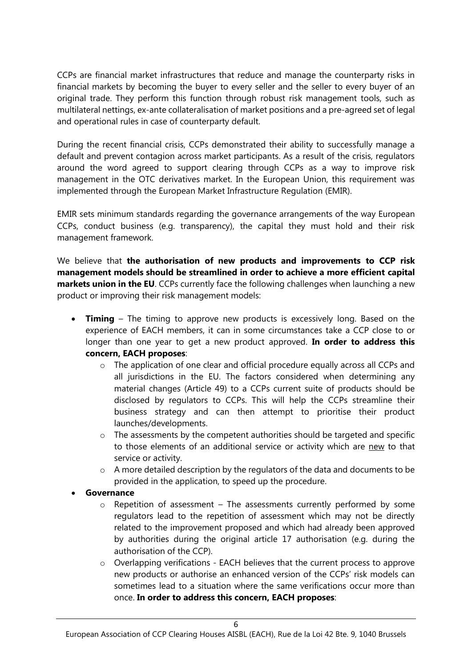CCPs are financial market infrastructures that reduce and manage the counterparty risks in financial markets by becoming the buyer to every seller and the seller to every buyer of an original trade. They perform this function through robust risk management tools, such as multilateral nettings, ex-ante collateralisation of market positions and a pre-agreed set of legal and operational rules in case of counterparty default.

During the recent financial crisis, CCPs demonstrated their ability to successfully manage a default and prevent contagion across market participants. As a result of the crisis, regulators around the word agreed to support clearing through CCPs as a way to improve risk management in the OTC derivatives market. In the European Union, this requirement was implemented through the European Market Infrastructure Regulation (EMIR).

EMIR sets minimum standards regarding the governance arrangements of the way European CCPs, conduct business (e.g. transparency), the capital they must hold and their risk management framework.

We believe that **the authorisation of new products and improvements to CCP risk management models should be streamlined in order to achieve a more efficient capital markets union in the EU**. CCPs currently face the following challenges when launching a new product or improving their risk management models:

- **Timing** The timing to approve new products is excessively long. Based on the experience of EACH members, it can in some circumstances take a CCP close to or longer than one year to get a new product approved. **In order to address this concern, EACH proposes**:
	- $\circ$  The application of one clear and official procedure equally across all CCPs and all jurisdictions in the EU. The factors considered when determining any material changes (Article 49) to a CCPs current suite of products should be disclosed by regulators to CCPs. This will help the CCPs streamline their business strategy and can then attempt to prioritise their product launches/developments.
	- o The assessments by the competent authorities should be targeted and specific to those elements of an additional service or activity which are new to that service or activity.
	- o A more detailed description by the regulators of the data and documents to be provided in the application, to speed up the procedure.
- **Governance**
	- o Repetition of assessment The assessments currently performed by some regulators lead to the repetition of assessment which may not be directly related to the improvement proposed and which had already been approved by authorities during the original article 17 authorisation (e.g. during the authorisation of the CCP).
	- $\circ$  Overlapping verifications EACH believes that the current process to approve new products or authorise an enhanced version of the CCPs' risk models can sometimes lead to a situation where the same verifications occur more than once. **In order to address this concern, EACH proposes**: